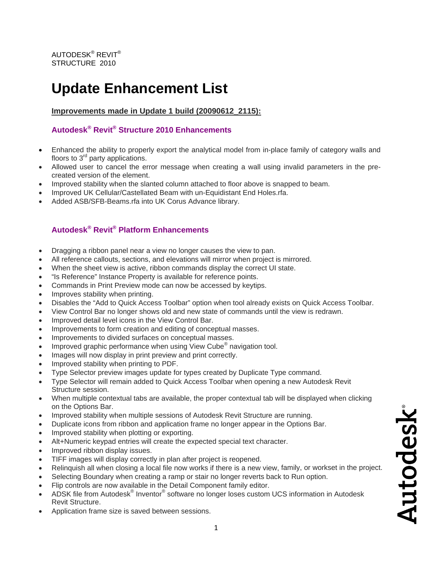## **Update Enhancement List**

**Improvements made in Update 1 build (20090612\_2115):**

## **Autodesk® Revit® Structure 2010 Enhancements**

- Enhanced the ability to properly export the analytical model from in-place family of category walls and floors to  $3<sup>rd</sup>$  party applications.
- Allowed user to cancel the error message when creating a wall using invalid parameters in the precreated version of the element.
- Improved stability when the slanted column attached to floor above is snapped to beam.
- Improved UK Cellular/Castellated Beam with un-Equidistant End Holes.rfa.
- Added ASB/SFB-Beams.rfa into UK Corus Advance library.

## **Autodesk® Revit® Platform Enhancements**

- Dragging a ribbon panel near a view no longer causes the view to pan.
- All reference callouts, sections, and elevations will mirror when project is mirrored.
- When the sheet view is active, ribbon commands display the correct UI state.
- "Is Reference" Instance Property is available for reference points.
- Commands in Print Preview mode can now be accessed by keytips.
- Improves stability when printing.
- Disables the "Add to Quick Access Toolbar" option when tool already exists on Quick Access Tool bar.
- View Con trol Bar no longer shows old and new state of commands until the view is redrawn.
- Improved detail level icons in the View Control Bar.
- Improvements to form creation and editing of conceptual masses.
- Improvements to divided surfaces on conceptual masses.
- Improved graphic performance when using View Cube<sup>®</sup> navigation tool.
- Images will now display in print preview and print correctly.
- Improved stability when printing to PDF.
- Type Selector preview images update for types created by Duplicate Type command.
- Type Selector will remain added to Quick Access Toolbar when opening a new Autodesk Revit Structure session.
- When multiple contextual tabs are available, the proper contextual tab will be displayed when clicking on the Options Bar.
- Improved stability when multiple sessions of Autodesk Revit Structure are running.
- Duplicate icons from ribbon and application frame no longer appear in the Options Bar.
- Improved stability when plotting or exporting.
- Alt+Numeric keypad entries will create the expected special text character.
- Improved ribbon display issues.
- TIFF images will display correctly in plan after project is reopened.
- Relinquish all when closing a local file now works if there is a new view, family, or workset in the project.
- Selecting Boundary when creating a ramp or stair no longer reverts back to Run option.
- Flip controls are now available in the Detail Component family editor.
- ADSK file from Autodesk® Inventor® software no longer loses custom UCS information in Autodesk Revit Structure.
- Application frame size is saved between sessions.